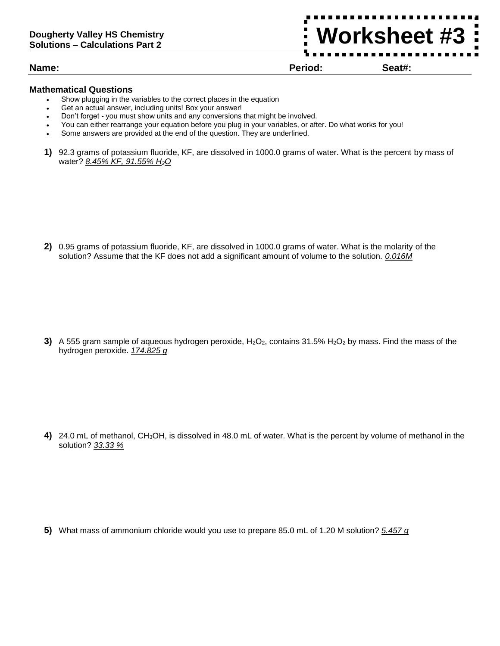**Name: Period: Seat#:**

**Worksheet #3**

## **Mathematical Questions**

- Show plugging in the variables to the correct places in the equation
- Get an actual answer, including units! Box your answer!
- Don't forget you must show units and any conversions that might be involved.
- You can either rearrange your equation before you plug in your variables, or after. Do what works for you!
- Some answers are provided at the end of the question. They are underlined.
- **1)** 92.3 grams of potassium fluoride, KF, are dissolved in 1000.0 grams of water. What is the percent by mass of water? *8.45% KF, 91.55% H2O*

**2)** 0.95 grams of potassium fluoride, KF, are dissolved in 1000.0 grams of water. What is the molarity of the solution? Assume that the KF does not add a significant amount of volume to the solution. *0.016M*

**3)** A 555 gram sample of aqueous hydrogen peroxide,  $H_2O_2$ , contains 31.5%  $H_2O_2$  by mass. Find the mass of the hydrogen peroxide. *174.825 g*

**4)** 24.0 mL of methanol, CH3OH, is dissolved in 48.0 mL of water. What is the percent by volume of methanol in the solution? *33.33 %*

**5)** What mass of ammonium chloride would you use to prepare 85.0 mL of 1.20 M solution? *5.457 g*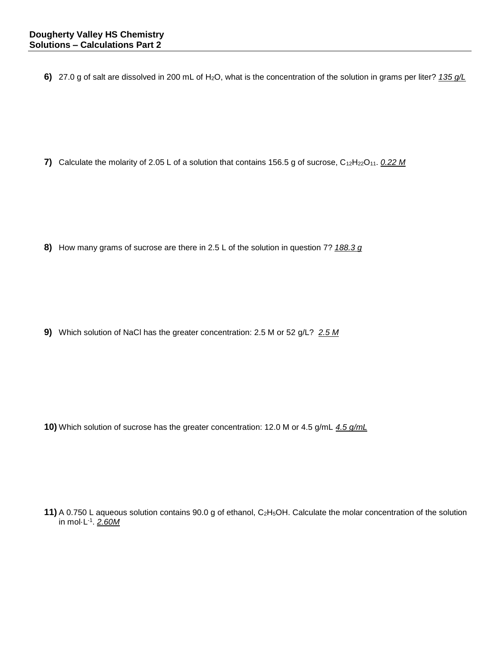**6)** 27.0 g of salt are dissolved in 200 mL of H2O, what is the concentration of the solution in grams per liter? *135 g/L*

**7)** Calculate the molarity of 2.05 L of a solution that contains 156.5 g of sucrose, C<sub>12</sub>H<sub>22</sub>O<sub>11</sub>. 0.22 M

**8)** How many grams of sucrose are there in 2.5 L of the solution in question 7? *188.3 g*

**9)** Which solution of NaCl has the greater concentration: 2.5 M or 52 g/L? *2.5 M*

**10)** Which solution of sucrose has the greater concentration: 12.0 M or 4.5 g/mL *4.5 g/mL*

**11)** A 0.750 L aqueous solution contains 90.0 g of ethanol, C<sub>2</sub>H<sub>5</sub>OH. Calculate the molar concentration of the solution in mol·L-1 . *2.60M*